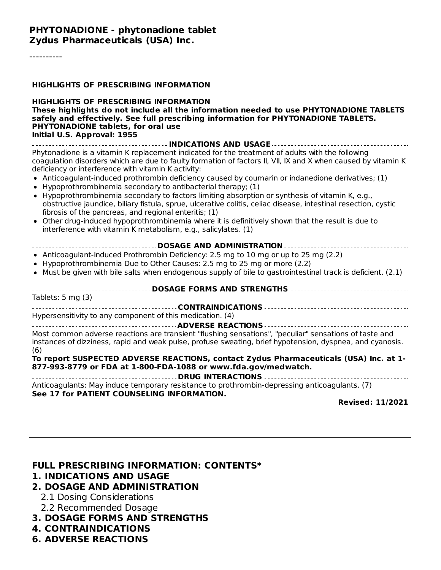#### **PHYTONADIONE - phytonadione tablet Zydus Pharmaceuticals (USA) Inc.**

#### **HIGHLIGHTS OF PRESCRIBING INFORMATION**

#### **HIGHLIGHTS OF PRESCRIBING INFORMATION These highlights do not include all the information needed to use PHYTONADIONE TABLETS safely and effectively. See full prescribing information for PHYTONADIONE TABLETS. PHYTONADIONE tablets, for oral use Initial U.S. Approval: 1955**

**INDICATIONS AND USAGE** Phytonadione is a vitamin K replacement indicated for the treatment of adults with the following coagulation disorders which are due to faulty formation of factors II, VII, IX and X when caused by vitamin K deficiency or interference with vitamin K activity:

- Anticoagulant-induced prothrombin deficiency caused by coumarin or indanedione derivatives; (1)
- $\bullet$  Hypoprothrombinemia secondary to antibacterial therapy; (1)
- Hypoprothrombinemia secondary to factors limiting absorption or synthesis of vitamin K, e.g., obstructive jaundice, biliary fistula, sprue, ulcerative colitis, celiac disease, intestinal resection, cystic fibrosis of the pancreas, and regional enteritis; (1)
- Other drug-induced hypoprothrombinemia where it is definitively shown that the result is due to interference with vitamin K metabolism, e.g., salicylates. (1)

|--|

- Anticoagulant-Induced Prothrombin Deficiency: 2.5 mg to 10 mg or up to 25 mg (2.2)
- Hypoprothrombinemia Due to Other Causes: 2.5 mg to 25 mg or more (2.2)
- $\bullet$  Must be given with bile salts when endogenous supply of bile to gastrointestinal track is deficient. (2.1)

#### **DOSAGE FORMS AND STRENGTHS** Tablets: 5 mg (3) **CONTRAINDICATIONS** Hypersensitivity to any component of this medication. (4) **ADVERSE REACTIONS** Most common adverse reactions are transient "flushing sensations", "peculiar" sensations of taste and instances of dizziness, rapid and weak pulse, profuse sweating, brief hypotension, dyspnea, and cyanosis. (6)

**To report SUSPECTED ADVERSE REACTIONS, contact Zydus Pharmaceuticals (USA) Inc. at 1- 877-993-8779 or FDA at 1-800-FDA-1088 or www.fda.gov/medwatch.**

**DRUG INTERACTIONS** Anticoagulants: May induce temporary resistance to prothrombin-depressing anticoagulants. (7) **See 17 for PATIENT COUNSELING INFORMATION.**

**Revised: 11/2021**

#### **FULL PRESCRIBING INFORMATION: CONTENTS\***

#### **1. INDICATIONS AND USAGE**

#### **2. DOSAGE AND ADMINISTRATION**

- 2.1 Dosing Considerations
- 2.2 Recommended Dosage
- **3. DOSAGE FORMS AND STRENGTHS**
- **4. CONTRAINDICATIONS**
- **6. ADVERSE REACTIONS**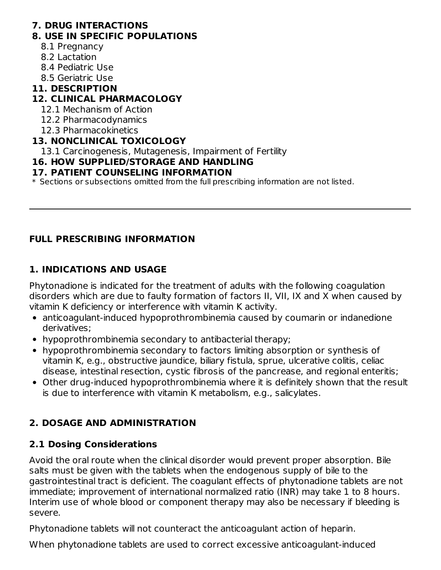#### **7. DRUG INTERACTIONS**

#### **8. USE IN SPECIFIC POPULATIONS**

- 8.1 Pregnancy
- 8.2 Lactation
- 8.4 Pediatric Use
- 8.5 Geriatric Use

#### **11. DESCRIPTION**

#### **12. CLINICAL PHARMACOLOGY**

- 12.1 Mechanism of Action
- 12.2 Pharmacodynamics
- 12.3 Pharmacokinetics

#### **13. NONCLINICAL TOXICOLOGY**

13.1 Carcinogenesis, Mutagenesis, Impairment of Fertility

#### **16. HOW SUPPLIED/STORAGE AND HANDLING**

#### **17. PATIENT COUNSELING INFORMATION**

 $\ast$  Sections or subsections omitted from the full prescribing information are not listed.

#### **FULL PRESCRIBING INFORMATION**

#### **1. INDICATIONS AND USAGE**

Phytonadione is indicated for the treatment of adults with the following coagulation disorders which are due to faulty formation of factors II, VII, IX and X when caused by vitamin K deficiency or interference with vitamin K activity.

- anticoagulant-induced hypoprothrombinemia caused by coumarin or indanedione derivatives;
- hypoprothrombinemia secondary to antibacterial therapy;
- hypoprothrombinemia secondary to factors limiting absorption or synthesis of vitamin K, e.g., obstructive jaundice, biliary fistula, sprue, ulcerative colitis, celiac disease, intestinal resection, cystic fibrosis of the pancrease, and regional enteritis;
- Other drug-induced hypoprothrombinemia where it is definitely shown that the result is due to interference with vitamin K metabolism, e.g., salicylates.

### **2. DOSAGE AND ADMINISTRATION**

### **2.1 Dosing Considerations**

Avoid the oral route when the clinical disorder would prevent proper absorption. Bile salts must be given with the tablets when the endogenous supply of bile to the gastrointestinal tract is deficient. The coagulant effects of phytonadione tablets are not immediate; improvement of international normalized ratio (INR) may take 1 to 8 hours. Interim use of whole blood or component therapy may also be necessary if bleeding is severe.

Phytonadione tablets will not counteract the anticoagulant action of heparin.

When phytonadione tablets are used to correct excessive anticoagulant-induced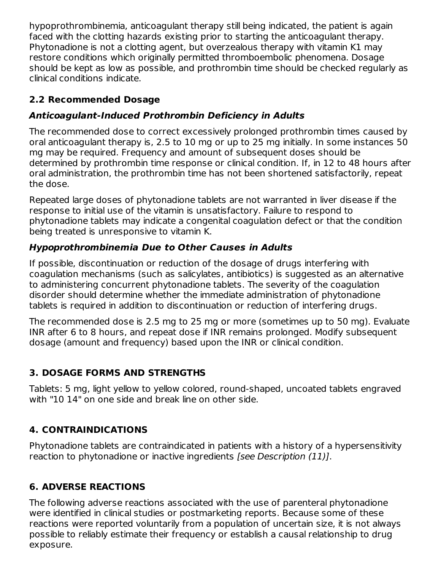hypoprothrombinemia, anticoagulant therapy still being indicated, the patient is again faced with the clotting hazards existing prior to starting the anticoagulant therapy. Phytonadione is not a clotting agent, but overzealous therapy with vitamin K1 may restore conditions which originally permitted thromboembolic phenomena. Dosage should be kept as low as possible, and prothrombin time should be checked regularly as clinical conditions indicate.

### **2.2 Recommended Dosage**

### **Anticoagulant-Induced Prothrombin Deficiency in Adults**

The recommended dose to correct excessively prolonged prothrombin times caused by oral anticoagulant therapy is, 2.5 to 10 mg or up to 25 mg initially. In some instances 50 mg may be required. Frequency and amount of subsequent doses should be determined by prothrombin time response or clinical condition. If, in 12 to 48 hours after oral administration, the prothrombin time has not been shortened satisfactorily, repeat the dose.

Repeated large doses of phytonadione tablets are not warranted in liver disease if the response to initial use of the vitamin is unsatisfactory. Failure to respond to phytonadione tablets may indicate a congenital coagulation defect or that the condition being treated is unresponsive to vitamin K.

## **Hypoprothrombinemia Due to Other Causes in Adults**

If possible, discontinuation or reduction of the dosage of drugs interfering with coagulation mechanisms (such as salicylates, antibiotics) is suggested as an alternative to administering concurrent phytonadione tablets. The severity of the coagulation disorder should determine whether the immediate administration of phytonadione tablets is required in addition to discontinuation or reduction of interfering drugs.

The recommended dose is 2.5 mg to 25 mg or more (sometimes up to 50 mg). Evaluate INR after 6 to 8 hours, and repeat dose if INR remains prolonged. Modify subsequent dosage (amount and frequency) based upon the INR or clinical condition.

# **3. DOSAGE FORMS AND STRENGTHS**

Tablets: 5 mg, light yellow to yellow colored, round-shaped, uncoated tablets engraved with "10 14" on one side and break line on other side.

## **4. CONTRAINDICATIONS**

Phytonadione tablets are contraindicated in patients with a history of a hypersensitivity reaction to phytonadione or inactive ingredients [see Description (11)].

# **6. ADVERSE REACTIONS**

The following adverse reactions associated with the use of parenteral phytonadione were identified in clinical studies or postmarketing reports. Because some of these reactions were reported voluntarily from a population of uncertain size, it is not always possible to reliably estimate their frequency or establish a causal relationship to drug exposure.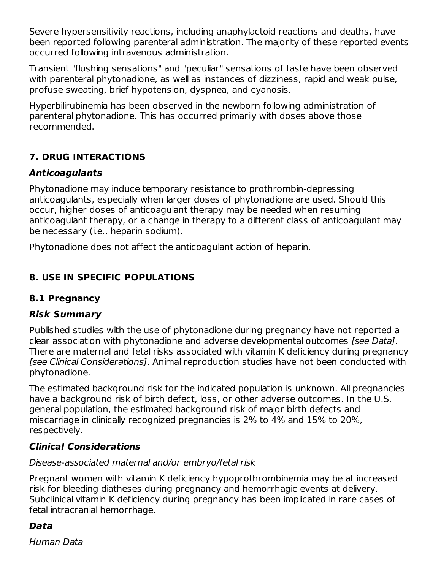Severe hypersensitivity reactions, including anaphylactoid reactions and deaths, have been reported following parenteral administration. The majority of these reported events occurred following intravenous administration.

Transient "flushing sensations" and "peculiar" sensations of taste have been observed with parenteral phytonadione, as well as instances of dizziness, rapid and weak pulse, profuse sweating, brief hypotension, dyspnea, and cyanosis.

Hyperbilirubinemia has been observed in the newborn following administration of parenteral phytonadione. This has occurred primarily with doses above those recommended.

### **7. DRUG INTERACTIONS**

#### **Anticoagulants**

Phytonadione may induce temporary resistance to prothrombin-depressing anticoagulants, especially when larger doses of phytonadione are used. Should this occur, higher doses of anticoagulant therapy may be needed when resuming anticoagulant therapy, or a change in therapy to a different class of anticoagulant may be necessary (i.e., heparin sodium).

Phytonadione does not affect the anticoagulant action of heparin.

### **8. USE IN SPECIFIC POPULATIONS**

### **8.1 Pregnancy**

#### **Risk Summary**

Published studies with the use of phytonadione during pregnancy have not reported a clear association with phytonadione and adverse developmental outcomes [see Data]. There are maternal and fetal risks associated with vitamin K deficiency during pregnancy [see Clinical Considerations]. Animal reproduction studies have not been conducted with phytonadione.

The estimated background risk for the indicated population is unknown. All pregnancies have a background risk of birth defect, loss, or other adverse outcomes. In the U.S. general population, the estimated background risk of major birth defects and miscarriage in clinically recognized pregnancies is 2% to 4% and 15% to 20%, respectively.

#### **Clinical Considerations**

#### Disease-associated maternal and/or embryo/fetal risk

Pregnant women with vitamin K deficiency hypoprothrombinemia may be at increased risk for bleeding diatheses during pregnancy and hemorrhagic events at delivery. Subclinical vitamin K deficiency during pregnancy has been implicated in rare cases of fetal intracranial hemorrhage.

### **Data**

Human Data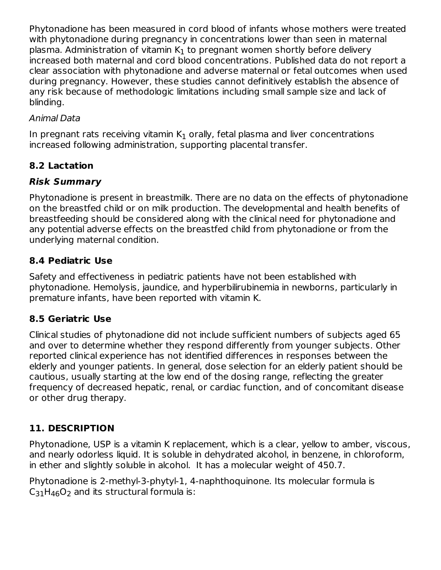Phytonadione has been measured in cord blood of infants whose mothers were treated with phytonadione during pregnancy in concentrations lower than seen in maternal plasma. Administration of vitamin  $\mathsf{K}_1$  to pregnant women shortly before delivery increased both maternal and cord blood concentrations. Published data do not report a clear association with phytonadione and adverse maternal or fetal outcomes when used during pregnancy. However, these studies cannot definitively establish the absence of any risk because of methodologic limitations including small sample size and lack of blinding.

#### Animal Data

In pregnant rats receiving vitamin  $\mathsf{K}_1$  orally, fetal plasma and liver concentrations increased following administration, supporting placental transfer.

### **8.2 Lactation**

#### **Risk Summary**

Phytonadione is present in breastmilk. There are no data on the effects of phytonadione on the breastfed child or on milk production. The developmental and health benefits of breastfeeding should be considered along with the clinical need for phytonadione and any potential adverse effects on the breastfed child from phytonadione or from the underlying maternal condition.

#### **8.4 Pediatric Use**

Safety and effectiveness in pediatric patients have not been established with phytonadione. Hemolysis, jaundice, and hyperbilirubinemia in newborns, particularly in premature infants, have been reported with vitamin K.

#### **8.5 Geriatric Use**

Clinical studies of phytonadione did not include sufficient numbers of subjects aged 65 and over to determine whether they respond differently from younger subjects. Other reported clinical experience has not identified differences in responses between the elderly and younger patients. In general, dose selection for an elderly patient should be cautious, usually starting at the low end of the dosing range, reflecting the greater frequency of decreased hepatic, renal, or cardiac function, and of concomitant disease or other drug therapy.

### **11. DESCRIPTION**

Phytonadione, USP is a vitamin K replacement, which is a clear, yellow to amber, viscous, and nearly odorless liquid. It is soluble in dehydrated alcohol, in benzene, in chloroform, in ether and slightly soluble in alcohol. It has a molecular weight of 450.7.

Phytonadione is 2-methyl-3-phytyl-1, 4-naphthoquinone. Its molecular formula is  $C_{31}H_{46}O_2$  and its structural formula is: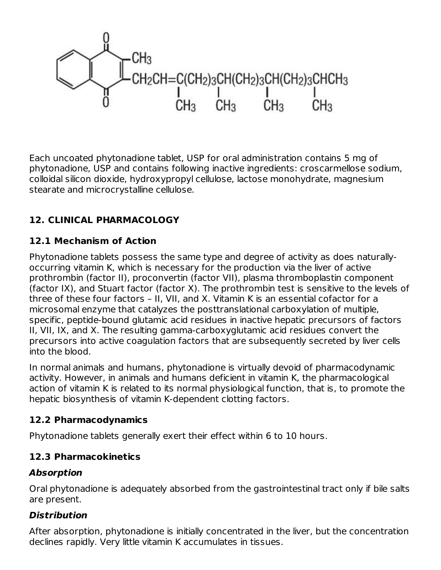

Each uncoated phytonadione tablet, USP for oral administration contains 5 mg of phytonadione, USP and contains following inactive ingredients: croscarmellose sodium, colloidal silicon dioxide, hydroxypropyl cellulose, lactose monohydrate, magnesium stearate and microcrystalline cellulose.

## **12. CLINICAL PHARMACOLOGY**

### **12.1 Mechanism of Action**

Phytonadione tablets possess the same type and degree of activity as does naturallyoccurring vitamin K, which is necessary for the production via the liver of active prothrombin (factor II), proconvertin (factor VII), plasma thromboplastin component (factor IX), and Stuart factor (factor X). The prothrombin test is sensitive to the levels of three of these four factors – II, VII, and X. Vitamin K is an essential cofactor for a microsomal enzyme that catalyzes the posttranslational carboxylation of multiple, specific, peptide-bound glutamic acid residues in inactive hepatic precursors of factors II, VII, IX, and X. The resulting gamma-carboxyglutamic acid residues convert the precursors into active coagulation factors that are subsequently secreted by liver cells into the blood.

In normal animals and humans, phytonadione is virtually devoid of pharmacodynamic activity. However, in animals and humans deficient in vitamin K, the pharmacological action of vitamin K is related to its normal physiological function, that is, to promote the hepatic biosynthesis of vitamin K-dependent clotting factors.

#### **12.2 Pharmacodynamics**

Phytonadione tablets generally exert their effect within 6 to 10 hours.

### **12.3 Pharmacokinetics**

#### **Absorption**

Oral phytonadione is adequately absorbed from the gastrointestinal tract only if bile salts are present.

### **Distribution**

After absorption, phytonadione is initially concentrated in the liver, but the concentration declines rapidly. Very little vitamin K accumulates in tissues.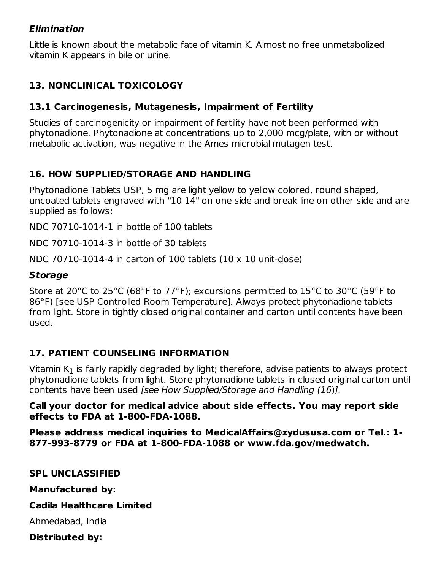#### **Elimination**

Little is known about the metabolic fate of vitamin K. Almost no free unmetabolized vitamin K appears in bile or urine.

### **13. NONCLINICAL TOXICOLOGY**

#### **13.1 Carcinogenesis, Mutagenesis, Impairment of Fertility**

Studies of carcinogenicity or impairment of fertility have not been performed with phytonadione. Phytonadione at concentrations up to 2,000 mcg/plate, with or without metabolic activation, was negative in the Ames microbial mutagen test.

#### **16. HOW SUPPLIED/STORAGE AND HANDLING**

Phytonadione Tablets USP, 5 mg are light yellow to yellow colored, round shaped, uncoated tablets engraved with "10 14" on one side and break line on other side and are supplied as follows:

NDC 70710-1014-1 in bottle of 100 tablets

NDC 70710-1014-3 in bottle of 30 tablets

NDC 70710-1014-4 in carton of 100 tablets  $(10 \times 10 \text{ unit-dose})$ 

#### **Storage**

Store at 20°C to 25°C (68°F to 77°F); excursions permitted to 15°C to 30°C (59°F to 86°F) [see USP Controlled Room Temperature]. Always protect phytonadione tablets from light. Store in tightly closed original container and carton until contents have been used.

#### **17. PATIENT COUNSELING INFORMATION**

Vitamin K $_{\rm 1}$  is fairly rapidly degraded by light; therefore, advise patients to always protect phytonadione tablets from light. Store phytonadione tablets in closed original carton until contents have been used [see How Supplied/Storage and Handling (16)].

#### **Call your doctor for medical advice about side effects. You may report side effects to FDA at 1-800-FDA-1088.**

**Please address medical inquiries to MedicalAffairs@zydususa.com or Tel.: 1- 877-993-8779 or FDA at 1-800-FDA-1088 or www.fda.gov/medwatch.**

**SPL UNCLASSIFIED**

**Manufactured by:**

#### **Cadila Healthcare Limited**

Ahmedabad, India

**Distributed by:**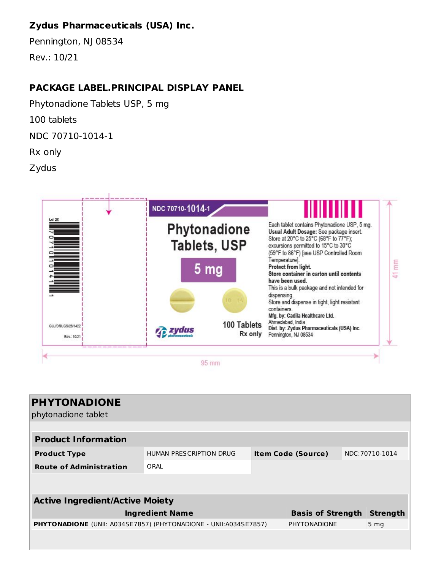### **Zydus Pharmaceuticals (USA) Inc.**

Pennington, NJ 08534 Rev.: 10/21

#### **PACKAGE LABEL.PRINCIPAL DISPLAY PANEL**

Phytonadione Tablets USP, 5 mg 100 tablets NDC 70710-1014-1 Rx only

Zydus



| <b>PHYTONADIONE</b>                                                     |                         |                           |                     |                 |      |
|-------------------------------------------------------------------------|-------------------------|---------------------------|---------------------|-----------------|------|
| phytonadione tablet                                                     |                         |                           |                     |                 |      |
|                                                                         |                         |                           |                     |                 |      |
| <b>Product Information</b>                                              |                         |                           |                     |                 |      |
| <b>Product Type</b>                                                     | HUMAN PRESCRIPTION DRUG | <b>Item Code (Source)</b> |                     | NDC: 70710-1014 |      |
| <b>Route of Administration</b>                                          | ORAL                    |                           |                     |                 |      |
|                                                                         |                         |                           |                     |                 |      |
|                                                                         |                         |                           |                     |                 |      |
| <b>Active Ingredient/Active Moiety</b>                                  |                         |                           |                     |                 |      |
| <b>Ingredient Name</b>                                                  |                         | <b>Basis of Strength</b>  |                     | <b>Strength</b> |      |
| <b>PHYTONADIONE</b> (UNII: A034SE7857) (PHYTONADIONE - UNII:A034SE7857) |                         |                           | <b>PHYTONADIONE</b> |                 | 5 mg |
|                                                                         |                         |                           |                     |                 |      |
|                                                                         |                         |                           |                     |                 |      |